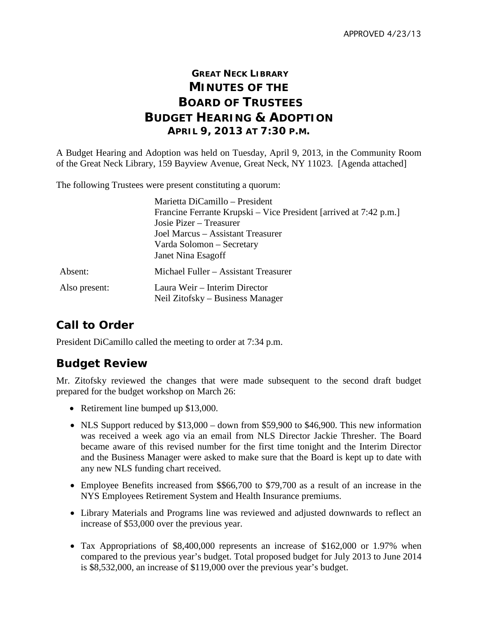## **GREAT NECK LIBRARY MINUTES OF THE BOARD OF TRUSTEES BUDGET HEARING & ADOPTION APRIL 9, 2013 AT 7:30 P.M.**

A Budget Hearing and Adoption was held on Tuesday, April 9, 2013, in the Community Room of the Great Neck Library, 159 Bayview Avenue, Great Neck, NY 11023. [Agenda attached]

The following Trustees were present constituting a quorum:

|               | Marietta DiCamillo – President                                    |
|---------------|-------------------------------------------------------------------|
|               | Francine Ferrante Krupski – Vice President [arrived at 7:42 p.m.] |
|               | Josie Pizer – Treasurer                                           |
|               | Joel Marcus – Assistant Treasurer                                 |
|               | Varda Solomon – Secretary                                         |
|               | Janet Nina Esagoff                                                |
| Absent:       | Michael Fuller – Assistant Treasurer                              |
| Also present: | Laura Weir – Interim Director<br>Neil Zitofsky – Business Manager |

# **Call to Order**

President DiCamillo called the meeting to order at 7:34 p.m.

#### **Budget Review**

Mr. Zitofsky reviewed the changes that were made subsequent to the second draft budget prepared for the budget workshop on March 26:

- Retirement line bumped up \$13,000.
- NLS Support reduced by \$13,000 down from \$59,900 to \$46,900. This new information was received a week ago via an email from NLS Director Jackie Thresher. The Board became aware of this revised number for the first time tonight and the Interim Director and the Business Manager were asked to make sure that the Board is kept up to date with any new NLS funding chart received.
- Employee Benefits increased from \$\$66,700 to \$79,700 as a result of an increase in the NYS Employees Retirement System and Health Insurance premiums.
- Library Materials and Programs line was reviewed and adjusted downwards to reflect an increase of \$53,000 over the previous year.
- Tax Appropriations of \$8,400,000 represents an increase of \$162,000 or 1.97% when compared to the previous year's budget. Total proposed budget for July 2013 to June 2014 is \$8,532,000, an increase of \$119,000 over the previous year's budget.